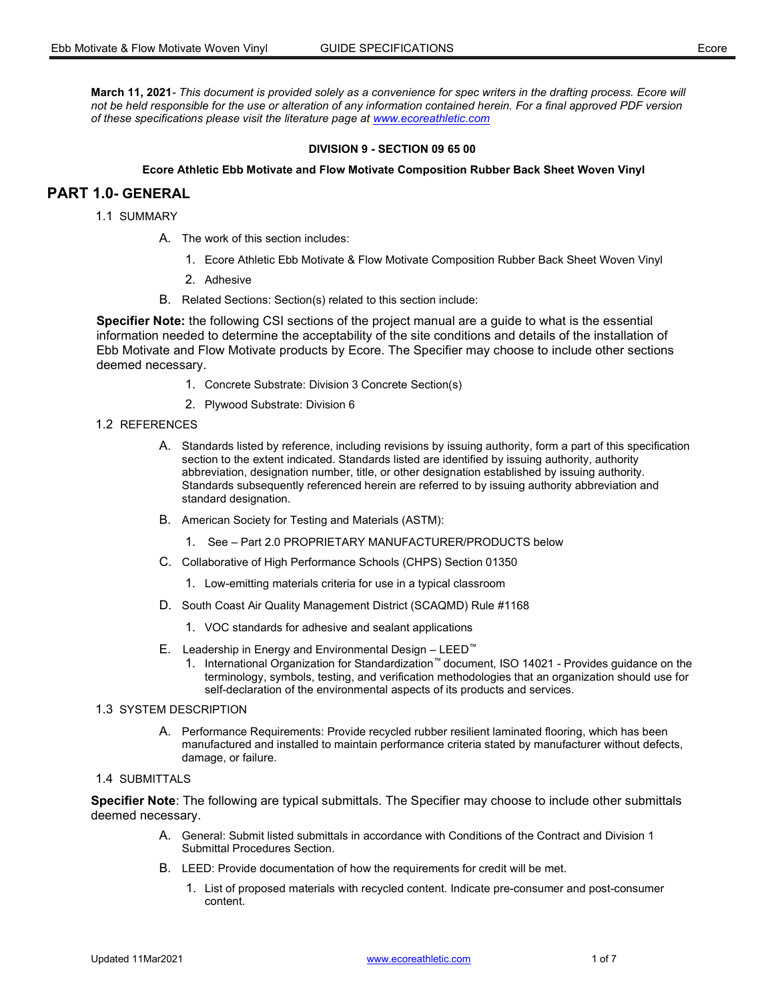March 11, 2021- This document is provided solely as a convenience for spec writers in the drafting process. Ecore will not be held responsible for the use or alteration of any information contained herein. For a final approved PDF version of these specifications please visit the literature page at www.ecoreathletic.com

#### DIVISION 9 - SECTION 09 65 00

#### Ecore Athletic Ebb Motivate and Flow Motivate Composition Rubber Back Sheet Woven Vinyl

# PART 1.0- GENERAL

1.1 SUMMARY

- A. The work of this section includes:
	- 1. Ecore Athletic Ebb Motivate & Flow Motivate Composition Rubber Back Sheet Woven Vinyl
	- 2. Adhesive
- B. Related Sections: Section(s) related to this section include:

Specifier Note: the following CSI sections of the project manual are a guide to what is the essential information needed to determine the acceptability of the site conditions and details of the installation of Ebb Motivate and Flow Motivate products by Ecore. The Specifier may choose to include other sections deemed necessary.

- 1. Concrete Substrate: Division 3 Concrete Section(s)
- 2. Plywood Substrate: Division 6

## 1.2 REFERENCES

- A. Standards listed by reference, including revisions by issuing authority, form a part of this specification section to the extent indicated. Standards listed are identified by issuing authority, authority abbreviation, designation number, title, or other designation established by issuing authority. Standards subsequently referenced herein are referred to by issuing authority abbreviation and standard designation.
- B. American Society for Testing and Materials (ASTM):
	- 1. See Part 2.0 PROPRIETARY MANUFACTURER/PRODUCTS below
- C. Collaborative of High Performance Schools (CHPS) Section 01350
	- 1. Low-emitting materials criteria for use in a typical classroom
- D. South Coast Air Quality Management District (SCAQMD) Rule #1168
	- 1. VOC standards for adhesive and sealant applications
- E. Leadership in Energy and Environmental Design LEED™
	- 1. International Organization for Standardization™ document, ISO 14021 Provides guidance on the terminology, symbols, testing, and verification methodologies that an organization should use for self-declaration of the environmental aspects of its products and services.

#### 1.3 SYSTEM DESCRIPTION

A. Performance Requirements: Provide recycled rubber resilient laminated flooring, which has been manufactured and installed to maintain performance criteria stated by manufacturer without defects, damage, or failure.

### 1.4 SUBMITTALS

Specifier Note: The following are typical submittals. The Specifier may choose to include other submittals deemed necessary.

- A. General: Submit listed submittals in accordance with Conditions of the Contract and Division 1 Submittal Procedures Section.
- B. LEED: Provide documentation of how the requirements for credit will be met.
	- 1. List of proposed materials with recycled content. Indicate pre-consumer and post-consumer content.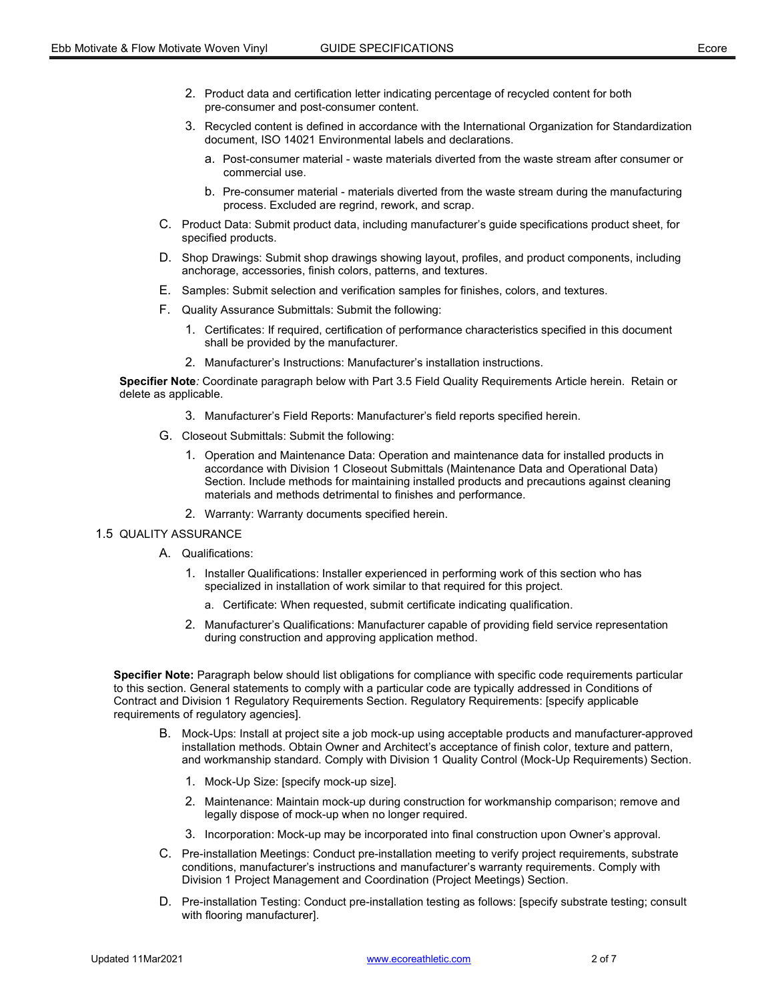- 2. Product data and certification letter indicating percentage of recycled content for both pre-consumer and post-consumer content.
- 3. Recycled content is defined in accordance with the International Organization for Standardization document, ISO 14021 Environmental labels and declarations.
	- a. Post-consumer material waste materials diverted from the waste stream after consumer or commercial use.
	- b. Pre-consumer material materials diverted from the waste stream during the manufacturing process. Excluded are regrind, rework, and scrap.
- C. Product Data: Submit product data, including manufacturer's guide specifications product sheet, for specified products.
- D. Shop Drawings: Submit shop drawings showing layout, profiles, and product components, including anchorage, accessories, finish colors, patterns, and textures.
- E. Samples: Submit selection and verification samples for finishes, colors, and textures.
- F. Quality Assurance Submittals: Submit the following:
	- 1. Certificates: If required, certification of performance characteristics specified in this document shall be provided by the manufacturer.
	- 2. Manufacturer's Instructions: Manufacturer's installation instructions.

Specifier Note: Coordinate paragraph below with Part 3.5 Field Quality Requirements Article herein. Retain or delete as applicable.

- 3. Manufacturer's Field Reports: Manufacturer's field reports specified herein.
- G. Closeout Submittals: Submit the following:
	- 1. Operation and Maintenance Data: Operation and maintenance data for installed products in accordance with Division 1 Closeout Submittals (Maintenance Data and Operational Data) Section. Include methods for maintaining installed products and precautions against cleaning materials and methods detrimental to finishes and performance.
	- 2. Warranty: Warranty documents specified herein.

#### 1.5 QUALITY ASSURANCE

- A. Qualifications:
	- 1. Installer Qualifications: Installer experienced in performing work of this section who has specialized in installation of work similar to that required for this project.
		- a. Certificate: When requested, submit certificate indicating qualification.
	- 2. Manufacturer's Qualifications: Manufacturer capable of providing field service representation during construction and approving application method.

Specifier Note: Paragraph below should list obligations for compliance with specific code requirements particular to this section. General statements to comply with a particular code are typically addressed in Conditions of Contract and Division 1 Regulatory Requirements Section. Regulatory Requirements: [specify applicable requirements of regulatory agencies].

- B. Mock-Ups: Install at project site a job mock-up using acceptable products and manufacturer-approved installation methods. Obtain Owner and Architect's acceptance of finish color, texture and pattern, and workmanship standard. Comply with Division 1 Quality Control (Mock-Up Requirements) Section.
	- 1. Mock-Up Size: [specify mock-up size].
	- 2. Maintenance: Maintain mock-up during construction for workmanship comparison; remove and legally dispose of mock-up when no longer required.
	- 3. Incorporation: Mock-up may be incorporated into final construction upon Owner's approval.
- C. Pre-installation Meetings: Conduct pre-installation meeting to verify project requirements, substrate conditions, manufacturer's instructions and manufacturer's warranty requirements. Comply with Division 1 Project Management and Coordination (Project Meetings) Section.
- D. Pre-installation Testing: Conduct pre-installation testing as follows: [specify substrate testing; consult with flooring manufacturer].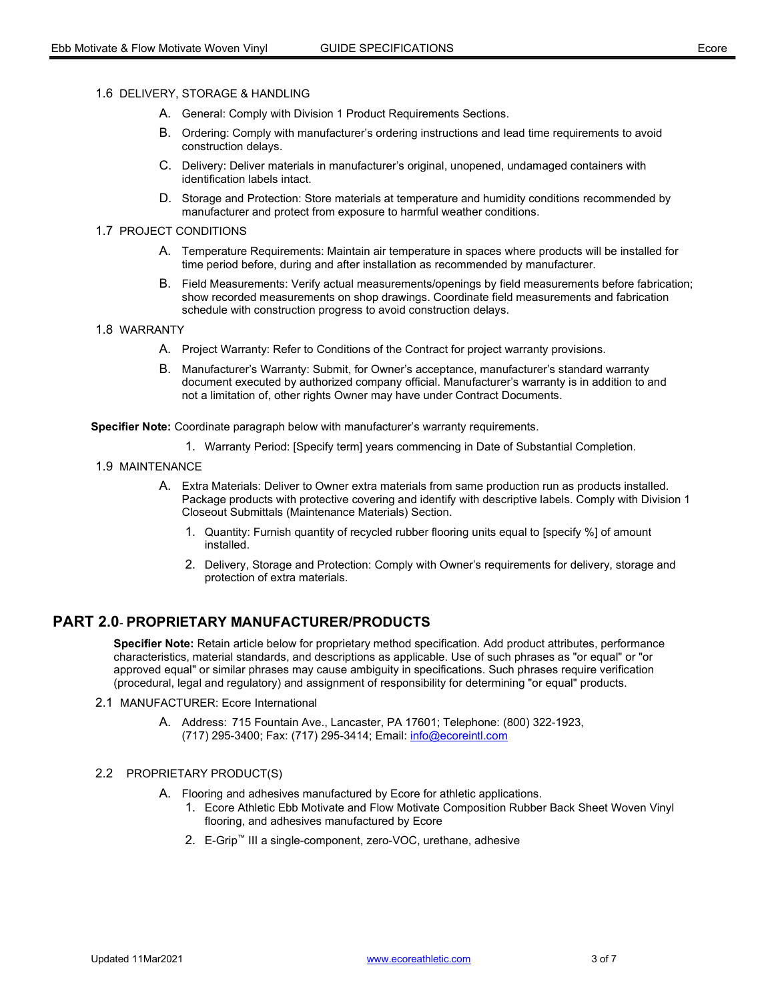- 1.6 DELIVERY, STORAGE & HANDLING
	- A. General: Comply with Division 1 Product Requirements Sections.
	- B. Ordering: Comply with manufacturer's ordering instructions and lead time requirements to avoid construction delays.
	- C. Delivery: Deliver materials in manufacturer's original, unopened, undamaged containers with identification labels intact.
	- D. Storage and Protection: Store materials at temperature and humidity conditions recommended by manufacturer and protect from exposure to harmful weather conditions.

## 1.7 PROJECT CONDITIONS

- A. Temperature Requirements: Maintain air temperature in spaces where products will be installed for time period before, during and after installation as recommended by manufacturer.
- B. Field Measurements: Verify actual measurements/openings by field measurements before fabrication; show recorded measurements on shop drawings. Coordinate field measurements and fabrication schedule with construction progress to avoid construction delays.

#### 1.8 WARRANTY

- A. Project Warranty: Refer to Conditions of the Contract for project warranty provisions.
- B. Manufacturer's Warranty: Submit, for Owner's acceptance, manufacturer's standard warranty document executed by authorized company official. Manufacturer's warranty is in addition to and not a limitation of, other rights Owner may have under Contract Documents.

Specifier Note: Coordinate paragraph below with manufacturer's warranty requirements.

- 1. Warranty Period: [Specify term] years commencing in Date of Substantial Completion.
- 1.9 MAINTENANCE
	- A. Extra Materials: Deliver to Owner extra materials from same production run as products installed. Package products with protective covering and identify with descriptive labels. Comply with Division 1 Closeout Submittals (Maintenance Materials) Section.
		- 1. Quantity: Furnish quantity of recycled rubber flooring units equal to [specify %] of amount installed.
		- 2. Delivery, Storage and Protection: Comply with Owner's requirements for delivery, storage and protection of extra materials.

# PART 2.0 - PROPRIETARY MANUFACTURER/PRODUCTS

Specifier Note: Retain article below for proprietary method specification. Add product attributes, performance characteristics, material standards, and descriptions as applicable. Use of such phrases as "or equal" or "or approved equal" or similar phrases may cause ambiguity in specifications. Such phrases require verification (procedural, legal and regulatory) and assignment of responsibility for determining "or equal" products.

- 2.1 MANUFACTURER: Ecore International
	- A. Address: 715 Fountain Ave., Lancaster, PA 17601; Telephone: (800) 322-1923, (717) 295-3400; Fax: (717) 295-3414; Email: info@ecoreintl.com

#### 2.2 PROPRIETARY PRODUCT(S)

- A. Flooring and adhesives manufactured by Ecore for athletic applications.
	- 1. Ecore Athletic Ebb Motivate and Flow Motivate Composition Rubber Back Sheet Woven Vinyl flooring, and adhesives manufactured by Ecore
	- 2. E-Grip™ III a single-component, zero-VOC, urethane, adhesive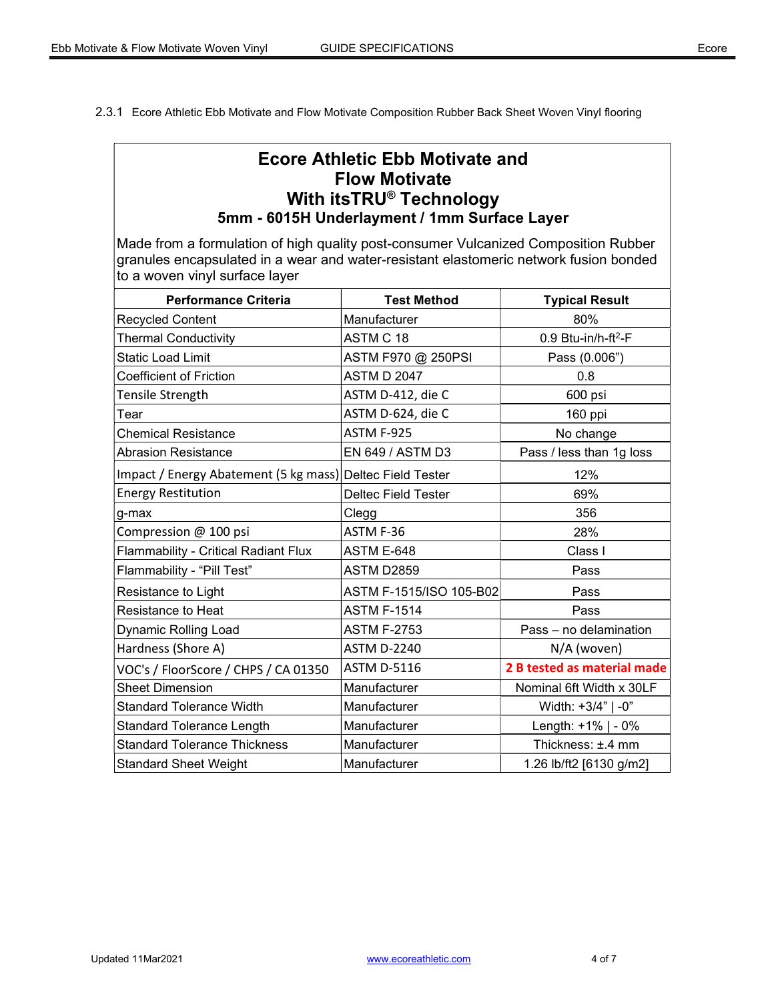2.3.1 Ecore Athletic Ebb Motivate and Flow Motivate Composition Rubber Back Sheet Woven Vinyl flooring

# Ecore Athletic Ebb Motivate and Flow Motivate With itsTRU® Technology 5mm - 6015H Underlayment / 1mm Surface Layer

Made from a formulation of high quality post-consumer Vulcanized Composition Rubber granules encapsulated in a wear and water-resistant elastomeric network fusion bonded to a woven vinyl surface layer

| <b>Performance Criteria</b>                               | <b>Test Method</b>         | <b>Typical Result</b>           |
|-----------------------------------------------------------|----------------------------|---------------------------------|
| <b>Recycled Content</b>                                   | Manufacturer               | 80%                             |
| <b>Thermal Conductivity</b>                               | ASTM C 18                  | 0.9 Btu-in/h-ft <sup>2</sup> -F |
| <b>Static Load Limit</b>                                  | ASTM F970 @ 250PSI         | Pass (0.006")                   |
| <b>Coefficient of Friction</b>                            | <b>ASTM D 2047</b>         | 0.8                             |
| Tensile Strength                                          | ASTM D-412, die C          | 600 psi                         |
| Tear                                                      | ASTM D-624, die C          | 160 ppi                         |
| <b>Chemical Resistance</b>                                | ASTM F-925                 | No change                       |
| <b>Abrasion Resistance</b>                                | EN 649 / ASTM D3           | Pass / less than 1g loss        |
| Impact / Energy Abatement (5 kg mass) Deltec Field Tester |                            | 12%                             |
| <b>Energy Restitution</b>                                 | <b>Deltec Field Tester</b> | 69%                             |
| g-max                                                     | Clegg                      | 356                             |
| Compression @ 100 psi                                     | ASTM F-36                  | 28%                             |
| Flammability - Critical Radiant Flux                      | ASTM E-648                 | Class I                         |
| Flammability - "Pill Test"                                | ASTM D2859                 | Pass                            |
| Resistance to Light                                       | ASTM F-1515/ISO 105-B02    | Pass                            |
| Resistance to Heat                                        | <b>ASTM F-1514</b>         | Pass                            |
| <b>Dynamic Rolling Load</b>                               | <b>ASTM F-2753</b>         | Pass - no delamination          |
| Hardness (Shore A)                                        | <b>ASTM D-2240</b>         | N/A (woven)                     |
| VOC's / FloorScore / CHPS / CA 01350                      | <b>ASTM D-5116</b>         | 2 B tested as material made     |
| <b>Sheet Dimension</b>                                    | Manufacturer               | Nominal 6ft Width x 30LF        |
| <b>Standard Tolerance Width</b>                           | Manufacturer               | Width: +3/4"   -0"              |
| <b>Standard Tolerance Length</b>                          | Manufacturer               | Length: +1%   - 0%              |
| <b>Standard Tolerance Thickness</b>                       | Manufacturer               | Thickness: ±.4 mm               |
| <b>Standard Sheet Weight</b>                              | Manufacturer               | 1.26 lb/ft2 [6130 g/m2]         |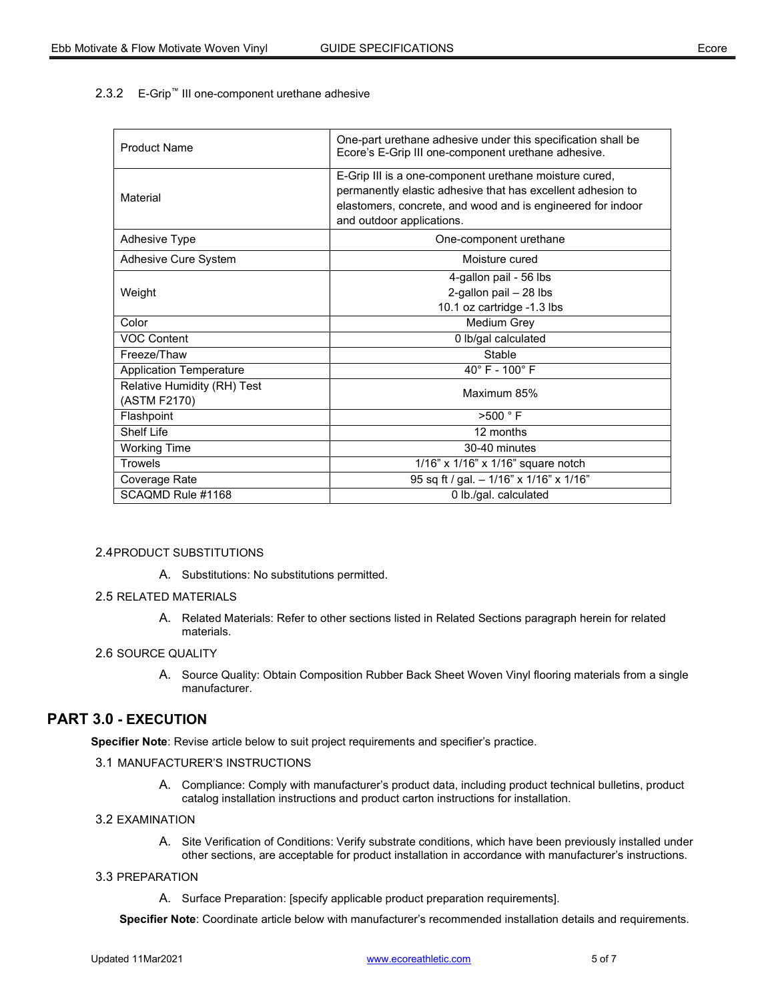## 2.3.2 E-Grip™ III one-component urethane adhesive

| <b>Product Name</b>                         | One-part urethane adhesive under this specification shall be<br>Ecore's E-Grip III one-component urethane adhesive.                                                                                               |  |
|---------------------------------------------|-------------------------------------------------------------------------------------------------------------------------------------------------------------------------------------------------------------------|--|
| Material                                    | E-Grip III is a one-component urethane moisture cured,<br>permanently elastic adhesive that has excellent adhesion to<br>elastomers, concrete, and wood and is engineered for indoor<br>and outdoor applications. |  |
| <b>Adhesive Type</b>                        | One-component urethane                                                                                                                                                                                            |  |
| Adhesive Cure System                        | Moisture cured                                                                                                                                                                                                    |  |
| Weight                                      | 4-gallon pail - 56 lbs<br>2-gallon pail - 28 lbs<br>10.1 oz cartridge -1.3 lbs                                                                                                                                    |  |
| Color                                       | Medium Grey                                                                                                                                                                                                       |  |
| <b>VOC Content</b>                          | 0 lb/gal calculated                                                                                                                                                                                               |  |
| Freeze/Thaw                                 | Stable                                                                                                                                                                                                            |  |
| <b>Application Temperature</b>              | $40^{\circ}$ F - $100^{\circ}$ F                                                                                                                                                                                  |  |
| Relative Humidity (RH) Test<br>(ASTM F2170) | Maximum 85%                                                                                                                                                                                                       |  |
| Flashpoint                                  | $>500$ $\degree$ F                                                                                                                                                                                                |  |
| Shelf I ife                                 | 12 months                                                                                                                                                                                                         |  |
| <b>Working Time</b>                         | 30-40 minutes                                                                                                                                                                                                     |  |
| <b>Trowels</b>                              | 1/16" x 1/16" x 1/16" square notch                                                                                                                                                                                |  |
| Coverage Rate                               | 95 sq ft / gal. - 1/16" x 1/16" x 1/16"                                                                                                                                                                           |  |
| SCAOMD Rule #1168                           | 0 lb./gal. calculated                                                                                                                                                                                             |  |

#### 2.4 PRODUCT SUBSTITUTIONS

A. Substitutions: No substitutions permitted.

#### 2.5 RELATED MATERIALS

A. Related Materials: Refer to other sections listed in Related Sections paragraph herein for related materials.

## 2.6 SOURCE QUALITY

A. Source Quality: Obtain Composition Rubber Back Sheet Woven Vinyl flooring materials from a single manufacturer.

# PART 3.0 - EXECUTION

Specifier Note: Revise article below to suit project requirements and specifier's practice.

#### 3.1 MANUFACTURER'S INSTRUCTIONS

A. Compliance: Comply with manufacturer's product data, including product technical bulletins, product catalog installation instructions and product carton instructions for installation.

#### 3.2EXAMINATION

A. Site Verification of Conditions: Verify substrate conditions, which have been previously installed under other sections, are acceptable for product installation in accordance with manufacturer's instructions.

#### **3.3 PREPARATION**

A. Surface Preparation: [specify applicable product preparation requirements].

Specifier Note: Coordinate article below with manufacturer's recommended installation details and requirements.